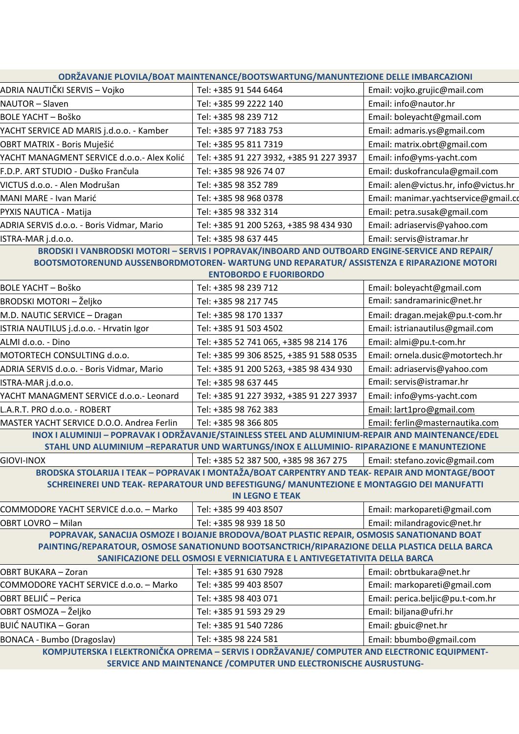| ODRŽAVANJE PLOVILA/BOAT MAINTENANCE/BOOTSWARTUNG/MANUNTEZIONE DELLE IMBARCAZIONI                                   |                                                                                                |                                       |  |
|--------------------------------------------------------------------------------------------------------------------|------------------------------------------------------------------------------------------------|---------------------------------------|--|
| ADRIA NAUTIČKI SERVIS – Vojko                                                                                      | Tel: +385 91 544 6464                                                                          | Email: vojko.grujic@mail.com          |  |
| NAUTOR - Slaven                                                                                                    | Tel: +385 99 2222 140                                                                          | Email: info@nautor.hr                 |  |
| <b>BOLE YACHT - Boško</b>                                                                                          | Tel: +385 98 239 712                                                                           | Email: boleyacht@gmail.com            |  |
| YACHT SERVICE AD MARIS j.d.o.o. - Kamber                                                                           | Tel: +385 97 7183 753                                                                          | Email: admaris.ys@gmail.com           |  |
| OBRT MATRIX - Boris Muješić                                                                                        | Tel: +385 95 811 7319                                                                          | Email: matrix.obrt@gmail.com          |  |
| YACHT MANAGMENT SERVICE d.o.o.- Alex Kolić                                                                         | Tel: +385 91 227 3932, +385 91 227 3937                                                        | Email: info@yms-yacht.com             |  |
| F.D.P. ART STUDIO - Duško Frančula                                                                                 | Tel: +385 98 926 74 07                                                                         | Email: duskofrancula@gmail.com        |  |
| VICTUS d.o.o. - Alen Modrušan                                                                                      | Tel: +385 98 352 789                                                                           | Email: alen@victus.hr, info@victus.hr |  |
| MANI MARE - Ivan Marić                                                                                             | Tel: +385 98 968 0378                                                                          | Email: manimar.yachtservice@gmail.co  |  |
| PYXIS NAUTICA - Matija                                                                                             | Tel: +385 98 332 314                                                                           | Email: petra.susak@gmail.com          |  |
| ADRIA SERVIS d.o.o. - Boris Vidmar, Mario                                                                          | Tel: +385 91 200 5263, +385 98 434 930                                                         | Email: adriaservis@yahoo.com          |  |
| ISTRA-MAR j.d.o.o.                                                                                                 | Tel: +385 98 637 445                                                                           | Email: servis@istramar.hr             |  |
| BRODSKI I VANBRODSKI MOTORI - SERVIS I POPRAVAK/INBOARD AND OUTBOARD ENGINE-SERVICE AND REPAIR/                    |                                                                                                |                                       |  |
| BOOTSMOTORENUND AUSSENBORDMOTOREN- WARTUNG UND REPARATUR/ ASSISTENZA E RIPARAZIONE MOTORI                          |                                                                                                |                                       |  |
| <b>ENTOBORDO E FUORIBORDO</b>                                                                                      |                                                                                                |                                       |  |
| <b>BOLE YACHT - Boško</b>                                                                                          | Tel: +385 98 239 712                                                                           | Email: boleyacht@gmail.com            |  |
| BRODSKI MOTORI – Željko                                                                                            | Tel: +385 98 217 745                                                                           | Email: sandramarinic@net.hr           |  |
| M.D. NAUTIC SERVICE - Dragan                                                                                       | Tel: +385 98 170 1337                                                                          | Email: dragan.mejak@pu.t-com.hr       |  |
| ISTRIA NAUTILUS j.d.o.o. - Hrvatin Igor                                                                            | Tel: +385 91 503 4502                                                                          | Email: istrianautilus@gmail.com       |  |
| ALMI d.o.o. - Dino                                                                                                 | Tel: +385 52 741 065, +385 98 214 176                                                          | Email: almi@pu.t-com.hr               |  |
| MOTORTECH CONSULTING d.o.o.                                                                                        | Tel: +385 99 306 8525, +385 91 588 0535                                                        | Email: ornela.dusic@motortech.hr      |  |
| ADRIA SERVIS d.o.o. - Boris Vidmar, Mario                                                                          | Tel: +385 91 200 5263, +385 98 434 930                                                         | Email: adriaservis@yahoo.com          |  |
| ISTRA-MAR j.d.o.o.                                                                                                 | Tel: +385 98 637 445                                                                           | Email: servis@istramar.hr             |  |
| YACHT MANAGMENT SERVICE d.o.o.- Leonard                                                                            | Tel: +385 91 227 3932, +385 91 227 3937                                                        | Email: info@yms-yacht.com             |  |
| L.A.R.T. PRO d.o.o. - ROBERT                                                                                       | Tel: +385 98 762 383                                                                           | Email: lart1pro@gmail.com             |  |
| MASTER YACHT SERVICE D.O.O. Andrea Ferlin                                                                          | Tel: +385 98 366 805                                                                           | Email: ferlin@masternautika.com       |  |
| INOX I ALUMINIJI - POPRAVAK I ODRŽAVANJE/STAINLESS STEEL AND ALUMINIUM-REPAIR AND MAINTENANCE/EDEL                 |                                                                                                |                                       |  |
| STAHL UND ALUMINIUM -REPARATUR UND WARTUNGS/INOX E ALLUMINIO- RIPARAZIONE E MANUNTEZIONE                           |                                                                                                |                                       |  |
| <b>GIOVI-INOX</b>                                                                                                  | Tel: +385 52 387 500, +385 98 367 275                                                          | Email: stefano.zovic@gmail.com        |  |
| BRODSKA STOLARIJA I TEAK - POPRAVAK I MONTAŽA/BOAT CARPENTRY AND TEAK- REPAIR AND MONTAGE/BOOT                     |                                                                                                |                                       |  |
| SCHREINEREI UND TEAK- REPARATOUR UND BEFESTIGUNG/ MANUNTEZIONE E MONTAGGIO DEI MANUFATTI<br><b>IN LEGNO E TEAK</b> |                                                                                                |                                       |  |
| COMMODORE YACHT SERVICE d.o.o. - Marko                                                                             | Tel: +385 99 403 8507                                                                          | Email: markopareti@gmail.com          |  |
| <b>OBRT LOVRO - Milan</b>                                                                                          | Tel: +385 98 939 18 50                                                                         | Email: milandragovic@net.hr           |  |
|                                                                                                                    | POPRAVAK, SANACIJA OSMOZE I BOJANJE BRODOVA/BOAT PLASTIC REPAIR, OSMOSIS SANATIONAND BOAT      |                                       |  |
| PAINTING/REPARATOUR, OSMOSE SANATIONUND BOOTSANCTRICH/RIPARAZIONE DELLA PLASTICA DELLA BARCA                       |                                                                                                |                                       |  |
| SANIFICAZIONE DELL OSMOSI E VERNICIATURA E L ANTIVEGETATIVITA DELLA BARCA                                          |                                                                                                |                                       |  |
| OBRT BUKARA - Zoran                                                                                                | Tel: +385 91 630 7928                                                                          | Email: obrtbukara@net.hr              |  |
| COMMODORE YACHT SERVICE d.o.o. - Marko                                                                             | Tel: +385 99 403 8507                                                                          | Email: markopareti@gmail.com          |  |
| OBRT BELJIĆ – Perica                                                                                               | Tel: +385 98 403 071                                                                           | Email: perica.beljic@pu.t-com.hr      |  |
| OBRT OSMOZA – Željko                                                                                               | Tel: +385 91 593 29 29                                                                         | Email: biljana@ufri.hr                |  |
| BUIĆ NAUTIKA – Goran                                                                                               | Tel: +385 91 540 7286                                                                          | Email: gbuic@net.hr                   |  |
| <b>BONACA - Bumbo (Dragoslav)</b>                                                                                  | Tel: +385 98 224 581                                                                           | Email: bbumbo@gmail.com               |  |
|                                                                                                                    | KOMBILITEDCKA I ELEKTRONIČKA ODREMA – CERVIC I ODRŽAVANJE / COMBIJTER AND ELECTRONIC EQUIDMENT |                                       |  |

**KOMPJUTERSKA I ELEKTRONIČKA OPREMA – SERVIS I ODRŽAVANJE/ COMPUTER AND ELECTRONIC EQUIPMENT-SERVICE AND MAINTENANCE /COMPUTER UND ELECTRONISCHE AUSRUSTUNG-**